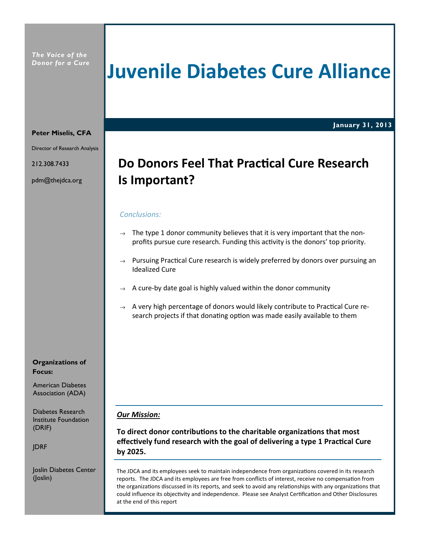The Voice of the Donor for a Cure

## Juvenile Diabetes Cure Alliance

January 31, 2013

#### Peter Miselis, CFA

Director of Research Analysis

212.308.7433

pdm@thejdca.org

## Do Donors Feel That Practical Cure Research Is Important?

#### Conclusions:

- $\rightarrow$  The type 1 donor community believes that it is very important that the nonprofits pursue cure research. Funding this activity is the donors' top priority.
- $\rightarrow$  Pursuing Practical Cure research is widely preferred by donors over pursuing an Idealized Cure
- $\rightarrow$  A cure-by date goal is highly valued within the donor community
- $\rightarrow$  A very high percentage of donors would likely contribute to Practical Cure research projects if that donating option was made easily available to them

#### Our Mission:

To direct donor contributions to the charitable organizations that most effectively fund research with the goal of delivering a type 1 Practical Cure by 2025.

The JDCA and its employees seek to maintain independence from organizations covered in its research reports. The JDCA and its employees are free from conflicts of interest, receive no compensation from the organizations discussed in its reports, and seek to avoid any relationships with any organizations that could influence its objectivity and independence. Please see Analyst Certification and Other Disclosures at the end of this report

Organizations of Focus:

American Diabetes Association (ADA)

Diabetes Research Institute Foundation (DRIF)

JDRF

Joslin Diabetes Center (Joslin)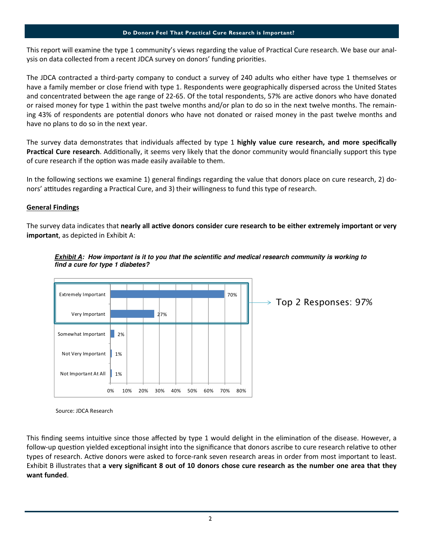#### Do Donors Feel That Practical Cure Research is Important?

This report will examine the type 1 community's views regarding the value of Practical Cure research. We base our analysis on data collected from a recent JDCA survey on donors' funding priorities.

The JDCA contracted a third-party company to conduct a survey of 240 adults who either have type 1 themselves or have a family member or close friend with type 1. Respondents were geographically dispersed across the United States and concentrated between the age range of 22-65. Of the total respondents, 57% are active donors who have donated or raised money for type 1 within the past twelve months and/or plan to do so in the next twelve months. The remaining 43% of respondents are potential donors who have not donated or raised money in the past twelve months and have no plans to do so in the next year.

The survey data demonstrates that individuals affected by type 1 highly value cure research, and more specifically **Practical Cure research**. Additionally, it seems very likely that the donor community would financially support this type of cure research if the option was made easily available to them.

In the following sections we examine 1) general findings regarding the value that donors place on cure research, 2) donors' attitudes regarding a Practical Cure, and 3) their willingness to fund this type of research.

#### General Findings

The survey data indicates that nearly all active donors consider cure research to be either extremely important or very important, as depicted in Exhibit A:





Source: JDCA Research

This finding seems intuitive since those affected by type 1 would delight in the elimination of the disease. However, a follow-up question yielded exceptional insight into the significance that donors ascribe to cure research relative to other types of research. Active donors were asked to force-rank seven research areas in order from most important to least. Exhibit B illustrates that a very significant 8 out of 10 donors chose cure research as the number one area that they want funded.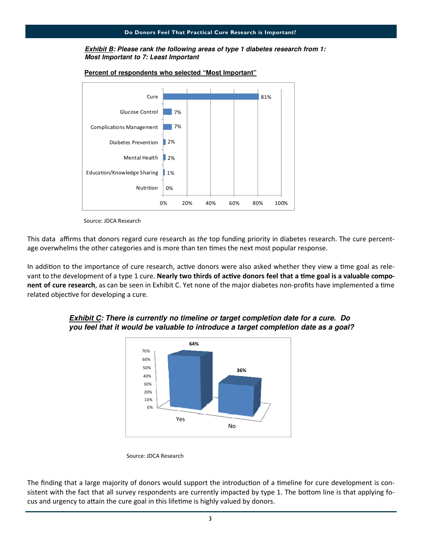#### **Exhibit B: Please rank the following areas of type 1 diabetes research from 1: Most Important to 7: Least Important**



**Percent of respondents who selected "Most Important"**

Source: JDCA Research

This data affirms that donors regard cure research as the top funding priority in diabetes research. The cure percentage overwhelms the other categories and is more than ten times the next most popular response.

In addition to the importance of cure research, active donors were also asked whether they view a time goal as relevant to the development of a type 1 cure. Nearly two thirds of active donors feel that a time goal is a valuable component of cure research, as can be seen in Exhibit C. Yet none of the major diabetes non-profits have implemented a time related objective for developing a cure.



#### **Exhibit C: There is currently no timeline or target completion date for a cure. Do you feel that it would be valuable to introduce a target completion date as a goal?**

The finding that a large majority of donors would support the introduction of a timeline for cure development is consistent with the fact that all survey respondents are currently impacted by type 1. The bottom line is that applying focus and urgency to attain the cure goal in this lifetime is highly valued by donors.

Source: JDCA Research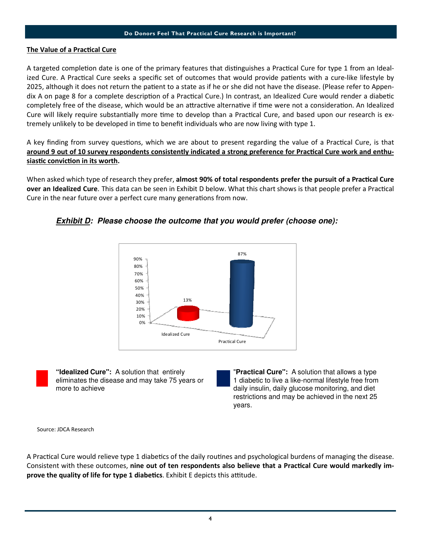#### Do Donors Feel That Practical Cure Research is Important?

#### The Value of a Practical Cure

A targeted completion date is one of the primary features that distinguishes a Practical Cure for type 1 from an Idealized Cure. A Practical Cure seeks a specific set of outcomes that would provide patients with a cure-like lifestyle by 2025, although it does not return the patient to a state as if he or she did not have the disease. (Please refer to Appendix A on page 8 for a complete description of a Practical Cure.) In contrast, an Idealized Cure would render a diabetic completely free of the disease, which would be an attractive alternative if time were not a consideration. An Idealized Cure will likely require substantially more time to develop than a Practical Cure, and based upon our research is extremely unlikely to be developed in time to benefit individuals who are now living with type 1.

A key finding from survey questions, which we are about to present regarding the value of a Practical Cure, is that around 9 out of 10 survey respondents consistently indicated a strong preference for Practical Cure work and enthusiastic conviction in its worth.

When asked which type of research they prefer, almost 90% of total respondents prefer the pursuit of a Practical Cure over an Idealized Cure. This data can be seen in Exhibit D below. What this chart shows is that people prefer a Practical Cure in the near future over a perfect cure many generations from now.



**Exhibit D: Please choose the outcome that you would prefer (choose one):**

**"Idealized Cure":** A solution that entirely eliminates the disease and may take 75 years or more to achieve

"**Practical Cure":** A solution that allows a type 1 diabetic to live a like-normal lifestyle free from daily insulin, daily glucose monitoring, and diet restrictions and may be achieved in the next 25 years.

Source: JDCA Research

A Practical Cure would relieve type 1 diabetics of the daily routines and psychological burdens of managing the disease. Consistent with these outcomes, nine out of ten respondents also believe that a Practical Cure would markedly improve the quality of life for type 1 diabetics. Exhibit E depicts this attitude.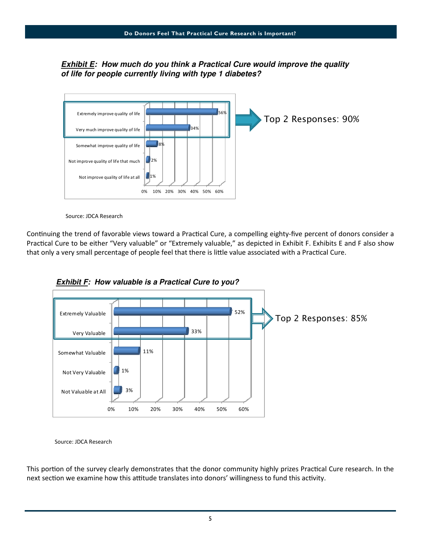### **Exhibit E: How much do you think a Practical Cure would improve the quality of life for people currently living with type 1 diabetes?**



Source: JDCA Research

Continuing the trend of favorable views toward a Practical Cure, a compelling eighty-five percent of donors consider a Practical Cure to be either "Very valuable" or "Extremely valuable," as depicted in Exhibit F. Exhibits E and F also show that only a very small percentage of people feel that there is little value associated with a Practical Cure.





Source: JDCA Research

This portion of the survey clearly demonstrates that the donor community highly prizes Practical Cure research. In the next section we examine how this attitude translates into donors' willingness to fund this activity.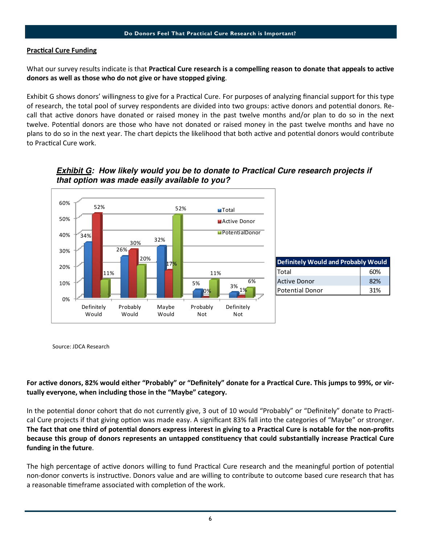#### **Practical Cure Funding**

What our survey results indicate is that Practical Cure research is a compelling reason to donate that appeals to active donors as well as those who do not give or have stopped giving.

Exhibit G shows donors' willingness to give for a Practical Cure. For purposes of analyzing financial support for this type of research, the total pool of survey respondents are divided into two groups: active donors and potential donors. Recall that active donors have donated or raised money in the past twelve months and/or plan to do so in the next twelve. Potential donors are those who have not donated or raised money in the past twelve months and have no plans to do so in the next year. The chart depicts the likelihood that both active and potential donors would contribute to Practical Cure work.



**Exhibit G: How likely would you be to donate to Practical Cure research projects if that option was made easily available to you?**

Source: JDCA Research

#### For active donors, 82% would either "Probably" or "Definitely" donate for a Practical Cure. This jumps to 99%, or virtually everyone, when including those in the "Maybe" category.

In the potential donor cohort that do not currently give, 3 out of 10 would "Probably" or "Definitely" donate to Practical Cure projects if that giving option was made easy. A significant 83% fall into the categories of "Maybe" or stronger. The fact that one third of potential donors express interest in giving to a Practical Cure is notable for the non-profits because this group of donors represents an untapped constituency that could substantially increase Practical Cure funding in the future.

The high percentage of active donors willing to fund Practical Cure research and the meaningful portion of potential non-donor converts is instructive. Donors value and are willing to contribute to outcome based cure research that has a reasonable timeframe associated with completion of the work.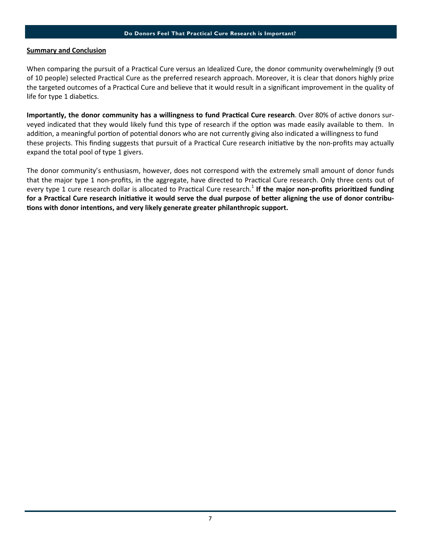#### Summary and Conclusion

When comparing the pursuit of a Practical Cure versus an Idealized Cure, the donor community overwhelmingly (9 out of 10 people) selected Practical Cure as the preferred research approach. Moreover, it is clear that donors highly prize the targeted outcomes of a Practical Cure and believe that it would result in a significant improvement in the quality of life for type 1 diabetics.

Importantly, the donor community has a willingness to fund Practical Cure research. Over 80% of active donors surveyed indicated that they would likely fund this type of research if the option was made easily available to them. In addition, a meaningful portion of potential donors who are not currently giving also indicated a willingness to fund these projects. This finding suggests that pursuit of a Practical Cure research initiative by the non-profits may actually expand the total pool of type 1 givers.

The donor community's enthusiasm, however, does not correspond with the extremely small amount of donor funds that the major type 1 non-profits, in the aggregate, have directed to Practical Cure research. Only three cents out of every type 1 cure research dollar is allocated to Practical Cure research.<sup>1</sup> If the major non-profits prioritized funding for a Practical Cure research initiative it would serve the dual purpose of better aligning the use of donor contributions with donor intentions, and very likely generate greater philanthropic support.